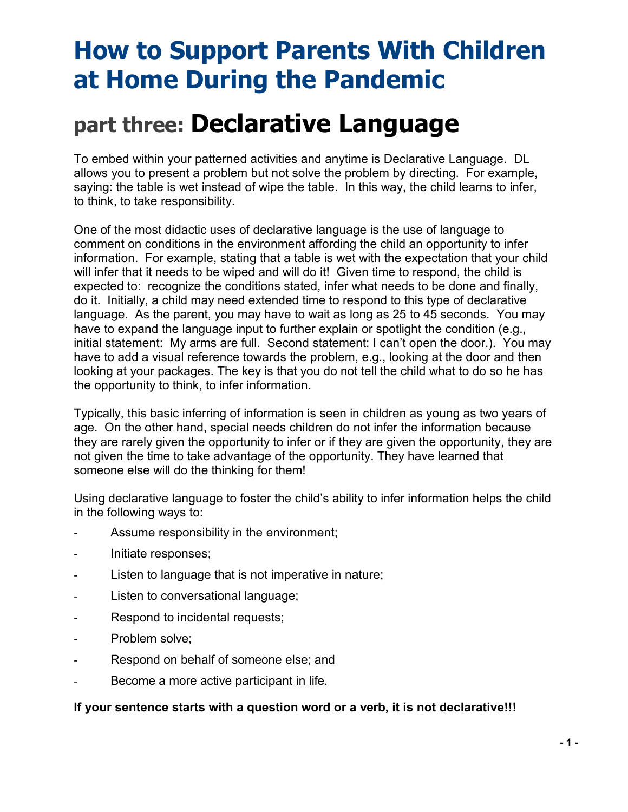# **How to Support Parents With Children at Home During the Pandemic**

## **part three: Declarative Language**

To embed within your patterned activities and anytime is Declarative Language. DL allows you to present a problem but not solve the problem by directing. For example, saying: the table is wet instead of wipe the table. In this way, the child learns to infer, to think, to take responsibility.

One of the most didactic uses of declarative language is the use of language to comment on conditions in the environment affording the child an opportunity to infer information. For example, stating that a table is wet with the expectation that your child will infer that it needs to be wiped and will do it! Given time to respond, the child is expected to: recognize the conditions stated, infer what needs to be done and finally, do it. Initially, a child may need extended time to respond to this type of declarative language. As the parent, you may have to wait as long as 25 to 45 seconds. You may have to expand the language input to further explain or spotlight the condition (e.g., initial statement: My arms are full. Second statement: I can't open the door.). You may have to add a visual reference towards the problem, e.g., looking at the door and then looking at your packages. The key is that you do not tell the child what to do so he has the opportunity to think, to infer information.

Typically, this basic inferring of information is seen in children as young as two years of age. On the other hand, special needs children do not infer the information because they are rarely given the opportunity to infer or if they are given the opportunity, they are not given the time to take advantage of the opportunity. They have learned that someone else will do the thinking for them!

Using declarative language to foster the child's ability to infer information helps the child in the following ways to:

- Assume responsibility in the environment;
- Initiate responses;
- Listen to language that is not imperative in nature;
- Listen to conversational language;
- Respond to incidental requests;
- Problem solve:
- Respond on behalf of someone else; and
- Become a more active participant in life.

#### **If your sentence starts with a question word or a verb, it is not declarative!!!**